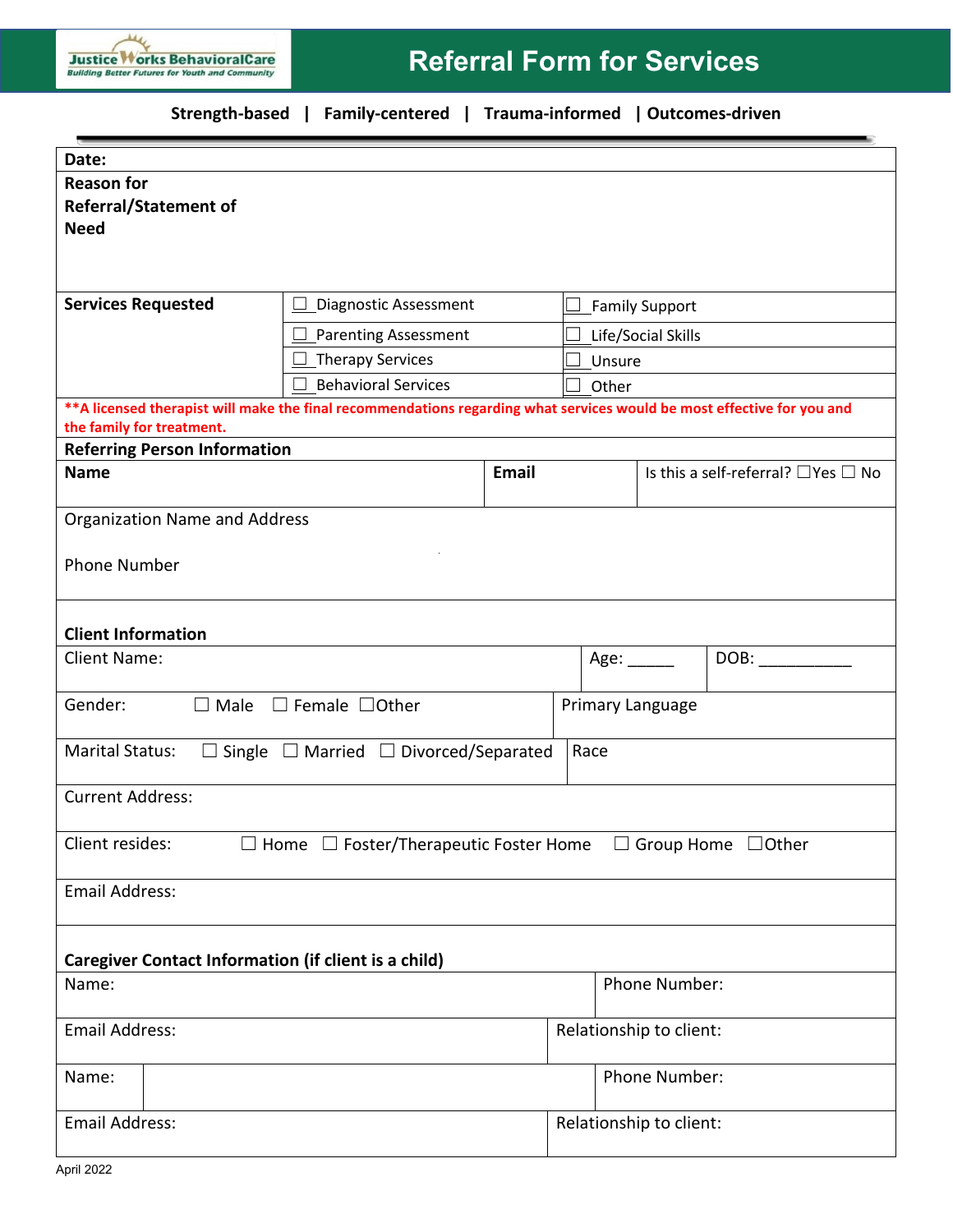## **Strength-based | Family-centered | Trauma-informed | Outcomes-driven**

| Date:                                                                                                                                                |                                                   |                      |                                       |                                               |      |  |
|------------------------------------------------------------------------------------------------------------------------------------------------------|---------------------------------------------------|----------------------|---------------------------------------|-----------------------------------------------|------|--|
| <b>Reason for</b>                                                                                                                                    |                                                   |                      |                                       |                                               |      |  |
| <b>Referral/Statement of</b>                                                                                                                         |                                                   |                      |                                       |                                               |      |  |
| <b>Need</b>                                                                                                                                          |                                                   |                      |                                       |                                               |      |  |
|                                                                                                                                                      |                                                   |                      |                                       |                                               |      |  |
|                                                                                                                                                      |                                                   |                      |                                       |                                               |      |  |
| <b>Services Requested</b>                                                                                                                            | Diagnostic Assessment<br>$\overline{\phantom{a}}$ |                      | <b>Family Support</b><br>$\mathbf{I}$ |                                               |      |  |
|                                                                                                                                                      | Parenting Assessment                              |                      | Life/Social Skills                    |                                               |      |  |
|                                                                                                                                                      | Therapy Services                                  |                      | Unsure                                |                                               |      |  |
|                                                                                                                                                      | <b>Behavioral Services</b>                        |                      | Other                                 |                                               |      |  |
| ** A licensed therapist will make the final recommendations regarding what services would be most effective for you and<br>the family for treatment. |                                                   |                      |                                       |                                               |      |  |
| <b>Referring Person Information</b>                                                                                                                  |                                                   |                      |                                       |                                               |      |  |
| <b>Name</b>                                                                                                                                          | Email                                             |                      |                                       | Is this a self-referral? $\Box$ Yes $\Box$ No |      |  |
| <b>Organization Name and Address</b>                                                                                                                 |                                                   |                      |                                       |                                               |      |  |
|                                                                                                                                                      |                                                   |                      |                                       |                                               |      |  |
| <b>Phone Number</b>                                                                                                                                  |                                                   |                      |                                       |                                               |      |  |
|                                                                                                                                                      |                                                   |                      |                                       |                                               |      |  |
| <b>Client Information</b>                                                                                                                            |                                                   |                      |                                       |                                               |      |  |
| <b>Client Name:</b>                                                                                                                                  |                                                   |                      |                                       | Age: $\_\_\_\_\_\_\$                          | DOB: |  |
|                                                                                                                                                      |                                                   |                      |                                       |                                               |      |  |
| Gender:<br>$\Box$ Male<br>$\Box$ Female $\Box$ Other                                                                                                 |                                                   |                      | Primary Language                      |                                               |      |  |
|                                                                                                                                                      |                                                   |                      |                                       |                                               |      |  |
| <b>Marital Status:</b><br>$\Box$ Single $\Box$ Married $\Box$ Divorced/Separated                                                                     |                                                   |                      | Race                                  |                                               |      |  |
| <b>Current Address:</b>                                                                                                                              |                                                   |                      |                                       |                                               |      |  |
|                                                                                                                                                      |                                                   |                      |                                       |                                               |      |  |
| Client resides:<br>$\Box$ Home $\Box$ Foster/Therapeutic Foster Home<br>$\Box$ Group Home $\Box$ Other                                               |                                                   |                      |                                       |                                               |      |  |
| <b>Email Address:</b>                                                                                                                                |                                                   |                      |                                       |                                               |      |  |
|                                                                                                                                                      |                                                   |                      |                                       |                                               |      |  |
| <b>Caregiver Contact Information (if client is a child)</b>                                                                                          |                                                   |                      |                                       |                                               |      |  |
| Name:                                                                                                                                                |                                                   |                      | Phone Number:                         |                                               |      |  |
| <b>Email Address:</b>                                                                                                                                |                                                   |                      | Relationship to client:               |                                               |      |  |
|                                                                                                                                                      |                                                   |                      |                                       |                                               |      |  |
| Name:                                                                                                                                                |                                                   | <b>Phone Number:</b> |                                       |                                               |      |  |
|                                                                                                                                                      |                                                   |                      |                                       |                                               |      |  |
| <b>Email Address:</b>                                                                                                                                |                                                   |                      | Relationship to client:               |                                               |      |  |